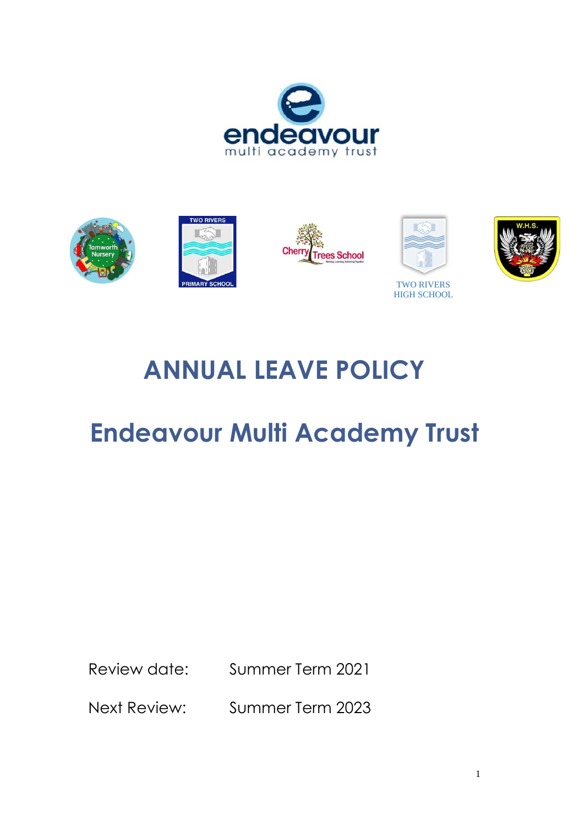



# **ANNUAL LEAVE POLICY**

# **Endeavour Multi Academy Trust**

Review date: Summer Term 2021

Next Review: Summer Term 2023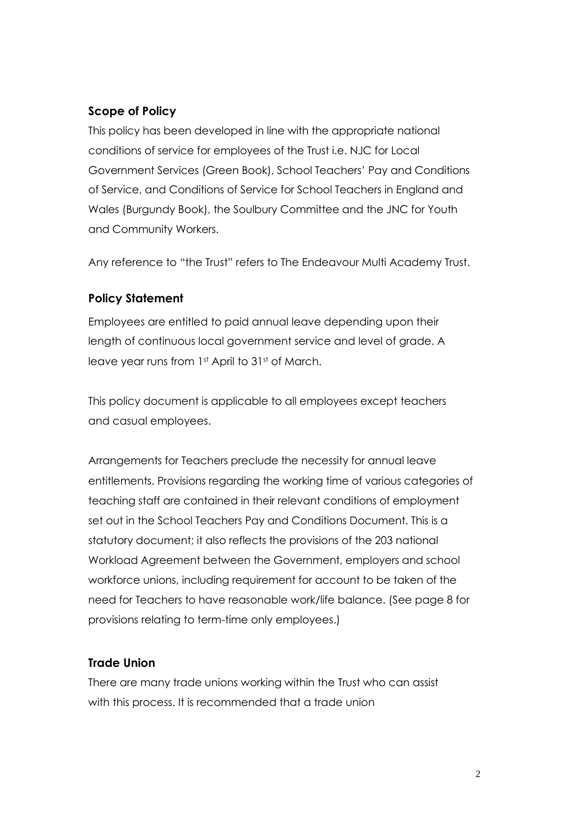# **Scope of Policy**

This policy has been developed in line with the appropriate national conditions of service for employees of the Trust i.e. NJC for Local Government Services (Green Book), School Teachers' Pay and Conditions of Service, and Conditions of Service for School Teachers in England and Wales (Burgundy Book), the Soulbury Committee and the JNC for Youth and Community Workers.

Any reference to "the Trust" refers to The Endeavour Multi Academy Trust.

# **Policy Statement**

Employees are entitled to paid annual leave depending upon their length of continuous local government service and level of grade. A leave year runs from 1st April to 31st of March.

This policy document is applicable to all employees except teachers and casual employees.

Arrangements for Teachers preclude the necessity for annual leave entitlements. Provisions regarding the working time of various categories of teaching staff are contained in their relevant conditions of employment set out in the School Teachers Pay and Conditions Document. This is a statutory document; it also reflects the provisions of the 203 national Workload Agreement between the Government, employers and school workforce unions, including requirement for account to be taken of the need for Teachers to have reasonable work/life balance. (See page 8 for provisions relating to term-time only employees.)

# **Trade Union**

There are many trade unions working within the Trust who can assist with this process. It is recommended that a trade union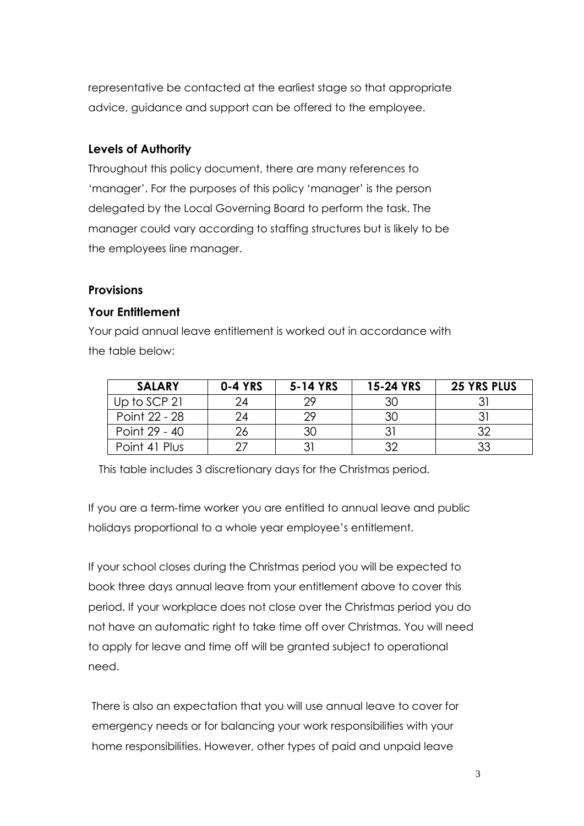representative be contacted at the earliest stage so that appropriate advice, guidance and support can be offered to the employee.

#### **Levels of Authority**

Throughout this policy document, there are many references to 'manager'. For the purposes of this policy 'manager' is the person delegated by the Local Governing Board to perform the task. The manager could vary according to staffing structures but is likely to be the employees line manager.

#### **Provisions**

## **Your Entitlement**

Your paid annual leave entitlement is worked out in accordance with the table below:

| <b>SALARY</b> | <b>0-4 YRS</b> | 5-14 YRS | 15-24 YRS | <b>25 YRS PLUS</b> |
|---------------|----------------|----------|-----------|--------------------|
| Up to SCP 21  | 24             | つつ       | 30        |                    |
| Point 22 - 28 | 24             | つつ       | 30        |                    |
| Point 29 - 40 |                | 30       |           | つつ                 |
| Point 41 Plus |                |          |           | 33                 |

This table includes 3 discretionary days for the Christmas period.

If you are a term-time worker you are entitled to annual leave and public holidays proportional to a whole year employee's entitlement.

If your school closes during the Christmas period you will be expected to book three days annual leave from your entitlement above to cover this period. If your workplace does not close over the Christmas period you do not have an automatic right to take time off over Christmas. You will need to apply for leave and time off will be granted subject to operational need.

There is also an expectation that you will use annual leave to cover for emergency needs or for balancing your work responsibilities with your home responsibilities. However, other types of paid and unpaid leave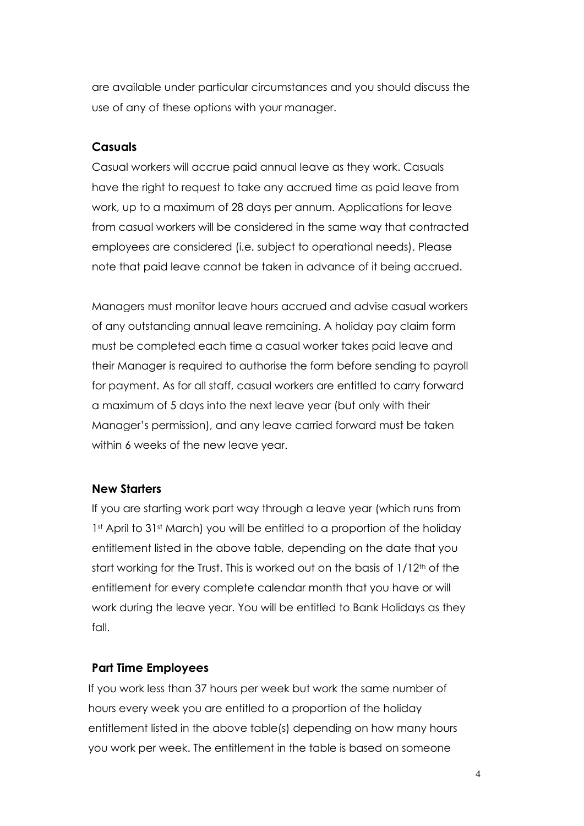are available under particular circumstances and you should discuss the use of any of these options with your manager.

#### **Casuals**

Casual workers will accrue paid annual leave as they work. Casuals have the right to request to take any accrued time as paid leave from work, up to a maximum of 28 days per annum. Applications for leave from casual workers will be considered in the same way that contracted employees are considered (i.e. subject to operational needs). Please note that paid leave cannot be taken in advance of it being accrued.

Managers must monitor leave hours accrued and advise casual workers of any outstanding annual leave remaining. A holiday pay claim form must be completed each time a casual worker takes paid leave and their Manager is required to authorise the form before sending to payroll for payment. As for all staff, casual workers are entitled to carry forward a maximum of 5 days into the next leave year (but only with their Manager's permission), and any leave carried forward must be taken within 6 weeks of the new leave year.

#### **New Starters**

If you are starting work part way through a leave year (which runs from 1st April to 31st March) you will be entitled to a proportion of the holiday entitlement listed in the above table, depending on the date that you start working for the Trust. This is worked out on the basis of 1/12<sup>th</sup> of the entitlement for every complete calendar month that you have or will work during the leave year. You will be entitled to Bank Holidays as they fall.

#### **Part Time Employees**

If you work less than 37 hours per week but work the same number of hours every week you are entitled to a proportion of the holiday entitlement listed in the above table(s) depending on how many hours you work per week. The entitlement in the table is based on someone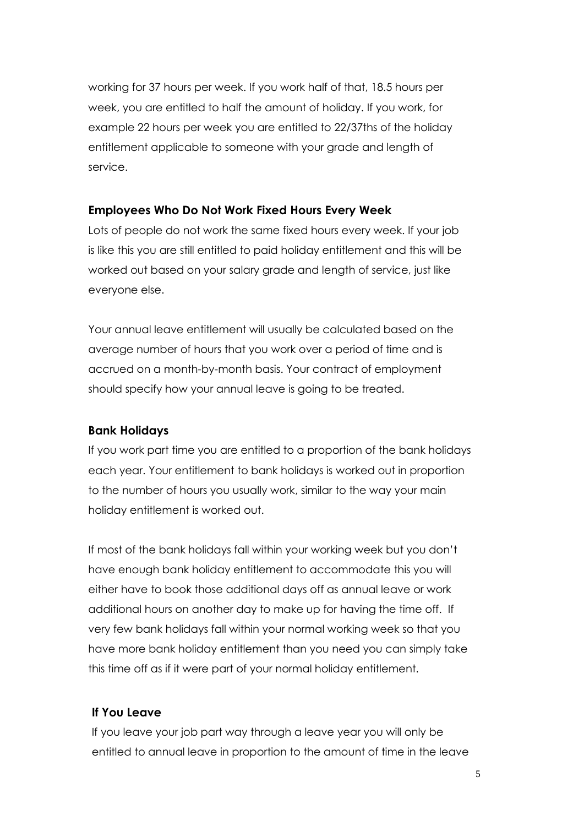working for 37 hours per week. If you work half of that, 18.5 hours per week, you are entitled to half the amount of holiday. If you work, for example 22 hours per week you are entitled to 22/37ths of the holiday entitlement applicable to someone with your grade and length of service.

## **Employees Who Do Not Work Fixed Hours Every Week**

Lots of people do not work the same fixed hours every week. If your job is like this you are still entitled to paid holiday entitlement and this will be worked out based on your salary grade and length of service, just like everyone else.

Your annual leave entitlement will usually be calculated based on the average number of hours that you work over a period of time and is accrued on a month-by-month basis. Your contract of employment should specify how your annual leave is going to be treated.

#### **Bank Holidays**

If you work part time you are entitled to a proportion of the bank holidays each year. Your entitlement to bank holidays is worked out in proportion to the number of hours you usually work, similar to the way your main holiday entitlement is worked out.

If most of the bank holidays fall within your working week but you don't have enough bank holiday entitlement to accommodate this you will either have to book those additional days off as annual leave or work additional hours on another day to make up for having the time off. If very few bank holidays fall within your normal working week so that you have more bank holiday entitlement than you need you can simply take this time off as if it were part of your normal holiday entitlement.

#### **If You Leave**

If you leave your job part way through a leave year you will only be entitled to annual leave in proportion to the amount of time in the leave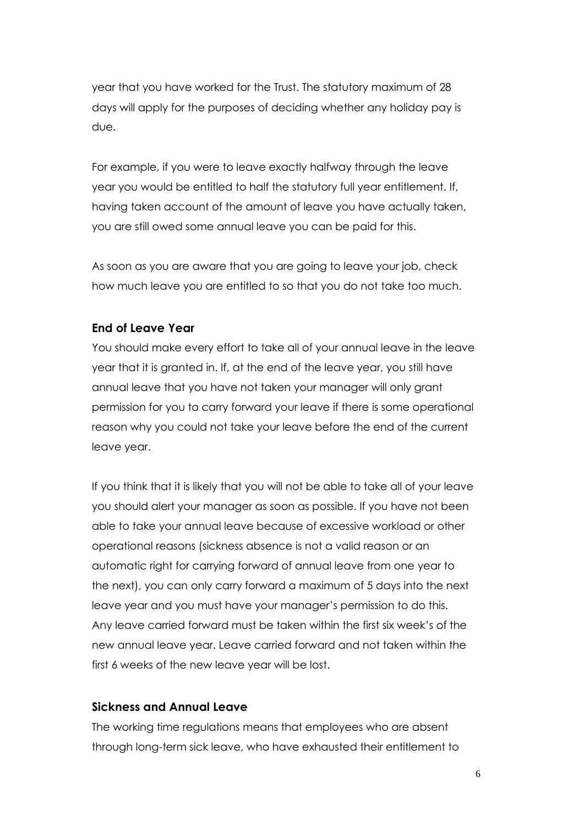year that you have worked for the Trust. The statutory maximum of 28 days will apply for the purposes of deciding whether any holiday pay is due.

For example, if you were to leave exactly halfway through the leave year you would be entitled to half the statutory full year entitlement. If, having taken account of the amount of leave you have actually taken, you are still owed some annual leave you can be paid for this.

As soon as you are aware that you are going to leave your job, check how much leave you are entitled to so that you do not take too much.

#### **End of Leave Year**

You should make every effort to take all of your annual leave in the leave year that it is granted in. If, at the end of the leave year, you still have annual leave that you have not taken your manager will only grant permission for you to carry forward your leave if there is some operational reason why you could not take your leave before the end of the current leave year.

If you think that it is likely that you will not be able to take all of your leave you should alert your manager as soon as possible. If you have not been able to take your annual leave because of excessive workload or other operational reasons (sickness absence is not a valid reason or an automatic right for carrying forward of annual leave from one year to the next), you can only carry forward a maximum of 5 days into the next leave year and you must have your manager's permission to do this. Any leave carried forward must be taken within the first six week's of the new annual leave year. Leave carried forward and not taken within the first 6 weeks of the new leave year will be lost.

#### **Sickness and Annual Leave**

The working time regulations means that employees who are absent through long-term sick leave, who have exhausted their entitlement to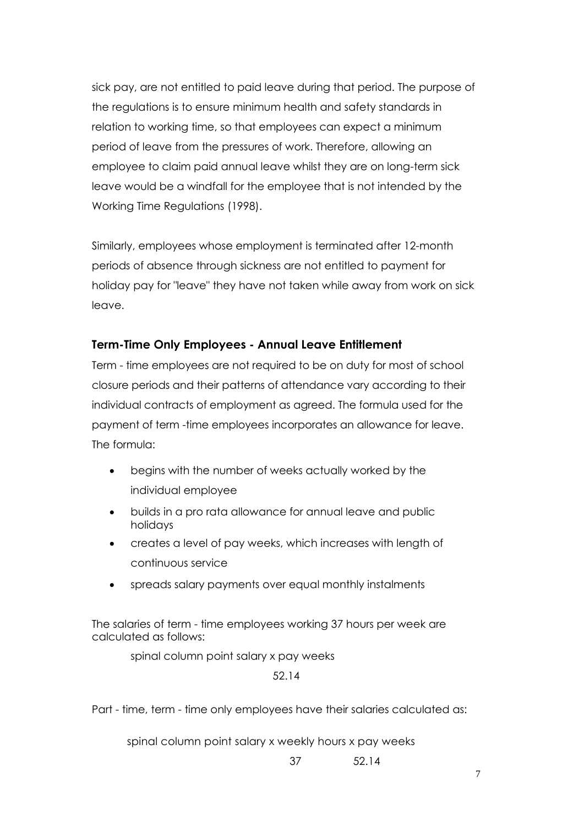sick pay, are not entitled to paid leave during that period. The purpose of the regulations is to ensure minimum health and safety standards in relation to working time, so that employees can expect a minimum period of leave from the pressures of work. Therefore, allowing an employee to claim paid annual leave whilst they are on long-term sick leave would be a windfall for the employee that is not intended by the Working Time Regulations (1998).

Similarly, employees whose employment is terminated after 12-month periods of absence through sickness are not entitled to payment for holiday pay for "leave" they have not taken while away from work on sick leave.

## **Term-Time Only Employees - Annual Leave Entitlement**

Term - time employees are not required to be on duty for most of school closure periods and their patterns of attendance vary according to their individual contracts of employment as agreed. The formula used for the payment of term -time employees incorporates an allowance for leave. The formula:

- begins with the number of weeks actually worked by the individual employee
- builds in a pro rata allowance for annual leave and public holidays
- creates a level of pay weeks, which increases with length of continuous service
- spreads salary payments over equal monthly instalments

The salaries of term - time employees working 37 hours per week are calculated as follows:

spinal column point salary x pay weeks

52.14

Part - time, term - time only employees have their salaries calculated as:

spinal column point salary x weekly hours x pay weeks

37 52.14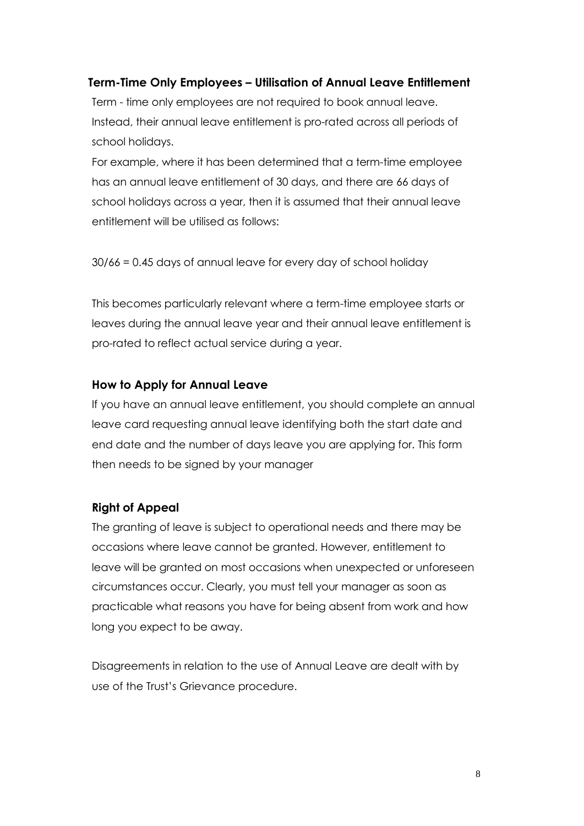#### **Term-Time Only Employees – Utilisation of Annual Leave Entitlement**

Term - time only employees are not required to book annual leave. Instead, their annual leave entitlement is pro-rated across all periods of school holidays.

For example, where it has been determined that a term-time employee has an annual leave entitlement of 30 days, and there are 66 days of school holidays across a year, then it is assumed that their annual leave entitlement will be utilised as follows:

30/66 = 0.45 days of annual leave for every day of school holiday

This becomes particularly relevant where a term-time employee starts or leaves during the annual leave year and their annual leave entitlement is pro-rated to reflect actual service during a year.

#### **How to Apply for Annual Leave**

If you have an annual leave entitlement, you should complete an annual leave card requesting annual leave identifying both the start date and end date and the number of days leave you are applying for. This form then needs to be signed by your manager

#### **Right of Appeal**

The granting of leave is subject to operational needs and there may be occasions where leave cannot be granted. However, entitlement to leave will be granted on most occasions when unexpected or unforeseen circumstances occur. Clearly, you must tell your manager as soon as practicable what reasons you have for being absent from work and how long you expect to be away.

Disagreements in relation to the use of Annual Leave are dealt with by use of the Trust's Grievance procedure.